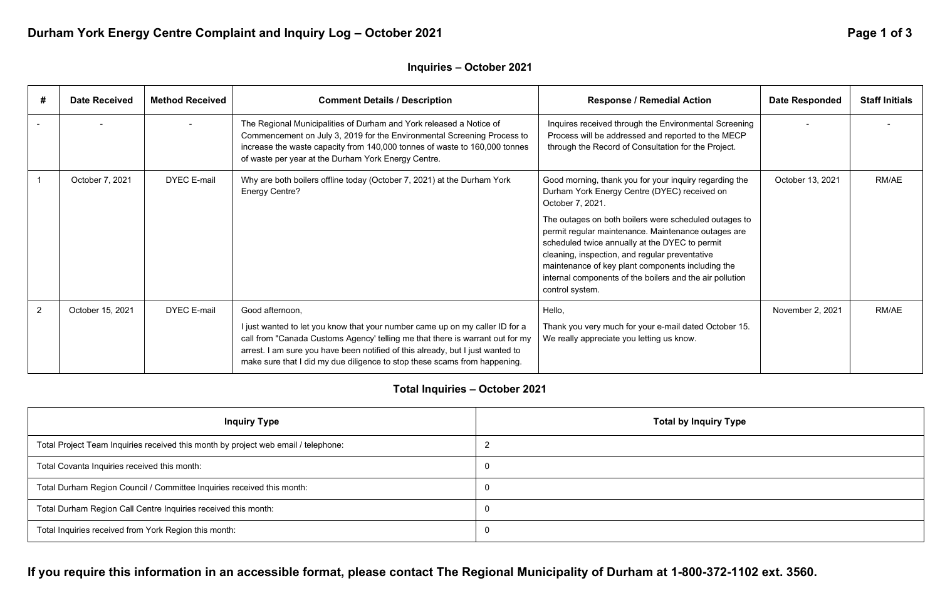**If you require this information in an accessible format, please contact The Regional Municipality of Durham at 1-800-372-1102 ext. 3560.** 

# Durham York Energy Centre Complaint and Inquiry Log - October 2021 **Page 1 of 3** Page 1 of 3

## **Inquiries – October 2021**

| #              | <b>Date Received</b> | <b>Method Received</b> | <b>Comment Details / Description</b>                                                                                                                                                                                                                                                                                         | <b>Response / Remedial Action</b>                                                                                                                                                                                                                                                                                                                    | <b>Date Responded</b> | <b>Staff Initials</b> |
|----------------|----------------------|------------------------|------------------------------------------------------------------------------------------------------------------------------------------------------------------------------------------------------------------------------------------------------------------------------------------------------------------------------|------------------------------------------------------------------------------------------------------------------------------------------------------------------------------------------------------------------------------------------------------------------------------------------------------------------------------------------------------|-----------------------|-----------------------|
|                |                      |                        | The Regional Municipalities of Durham and York released a Notice of<br>Commencement on July 3, 2019 for the Environmental Screening Process to<br>increase the waste capacity from 140,000 tonnes of waste to 160,000 tonnes<br>of waste per year at the Durham York Energy Centre.                                          | Inquires received through the Environmental Screening<br>Process will be addressed and reported to the MECP<br>through the Record of Consultation for the Project.                                                                                                                                                                                   |                       |                       |
|                | October 7, 2021      | <b>DYEC E-mail</b>     | Why are both boilers offline today (October 7, 2021) at the Durham York<br>Energy Centre?                                                                                                                                                                                                                                    | Good morning, thank you for your inquiry regarding the<br>Durham York Energy Centre (DYEC) received on<br>October 7, 2021.                                                                                                                                                                                                                           | October 13, 2021      | RM/AE                 |
|                |                      |                        |                                                                                                                                                                                                                                                                                                                              | The outages on both boilers were scheduled outages to<br>permit regular maintenance. Maintenance outages are<br>scheduled twice annually at the DYEC to permit<br>cleaning, inspection, and regular preventative<br>maintenance of key plant components including the<br>internal components of the boilers and the air pollution<br>control system. |                       |                       |
| $\overline{2}$ | October 15, 2021     | <b>DYEC E-mail</b>     | Good afternoon,                                                                                                                                                                                                                                                                                                              | Hello,                                                                                                                                                                                                                                                                                                                                               | November 2, 2021      | RM/AE                 |
|                |                      |                        | I just wanted to let you know that your number came up on my caller ID for a<br>call from "Canada Customs Agency' telling me that there is warrant out for my<br>arrest. I am sure you have been notified of this already, but I just wanted to<br>make sure that I did my due diligence to stop these scams from happening. | Thank you very much for your e-mail dated October 15.<br>We really appreciate you letting us know.                                                                                                                                                                                                                                                   |                       |                       |

## **Total Inquiries – October 2021**

| <b>Inquiry Type</b>                                                                | <b>Total by Inquiry Type</b> |
|------------------------------------------------------------------------------------|------------------------------|
| Total Project Team Inquiries received this month by project web email / telephone: |                              |
| Total Covanta Inquiries received this month:                                       |                              |
| Total Durham Region Council / Committee Inquiries received this month:             |                              |
| Total Durham Region Call Centre Inquiries received this month:                     |                              |
| Total Inquiries received from York Region this month:                              |                              |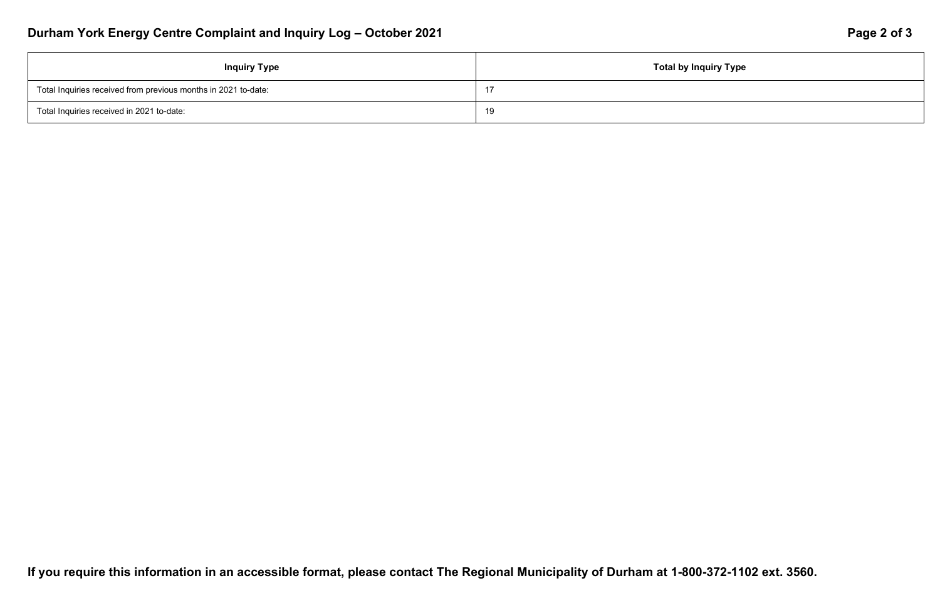## **Inquiry Type**

# Durham York Energy Centre Complaint and Inquiry Log - October 2021 **Page 2 of 3** Page 2 of 3

| <b>Inquiry Type</b>                                            | Total by |
|----------------------------------------------------------------|----------|
| Total Inquiries received from previous months in 2021 to-date: | 17       |
| Total Inquiries received in 2021 to-date:                      | 19       |